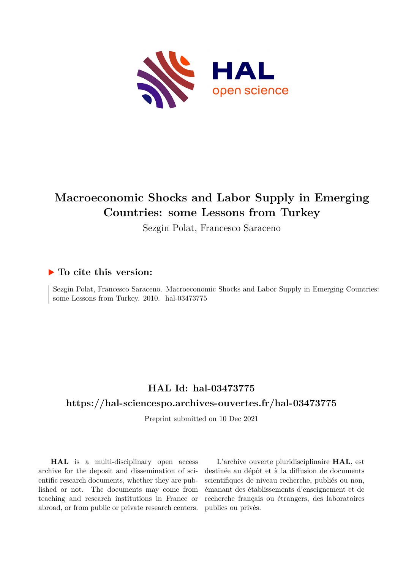

# **Macroeconomic Shocks and Labor Supply in Emerging Countries: some Lessons from Turkey**

Sezgin Polat, Francesco Saraceno

## **To cite this version:**

Sezgin Polat, Francesco Saraceno. Macroeconomic Shocks and Labor Supply in Emerging Countries: some Lessons from Turkey. 2010. hal-03473775

## **HAL Id: hal-03473775**

## **<https://hal-sciencespo.archives-ouvertes.fr/hal-03473775>**

Preprint submitted on 10 Dec 2021

**HAL** is a multi-disciplinary open access archive for the deposit and dissemination of scientific research documents, whether they are published or not. The documents may come from teaching and research institutions in France or abroad, or from public or private research centers.

L'archive ouverte pluridisciplinaire **HAL**, est destinée au dépôt et à la diffusion de documents scientifiques de niveau recherche, publiés ou non, émanant des établissements d'enseignement et de recherche français ou étrangers, des laboratoires publics ou privés.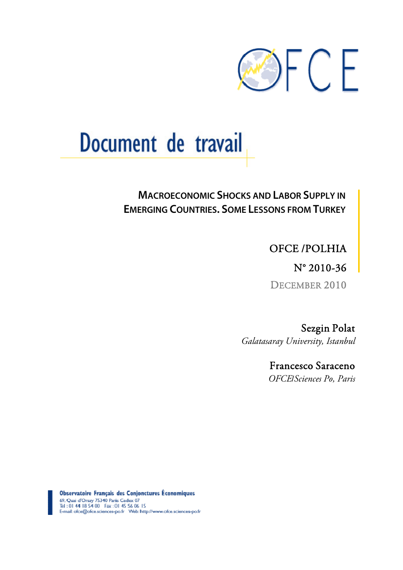

# Document de travail

# **MACROECONOMIC SHOCKS AND LABOR SUPPLY IN EMERGING COUNTRIES. SOME LESSONS FROM TURKEY**

OFCE /POLHIA

N° 2010-36

DECEMBER 2010

Sezgin Polat *Galatasaray University, Istanbul* 

> Francesco Saraceno *OFCE*/*Sciences Po, Paris*

Observatoire Français des Conjonctures Économiques 69. Qual d'Orsay 75340 Paris Cedex 07<br>Tel : 01 44 18 54 00 Fax : 01 45 56 06 15<br>E-mail: ofce@ofce.sciences-po.fr Web: http://www.ofce.sciences-po.fr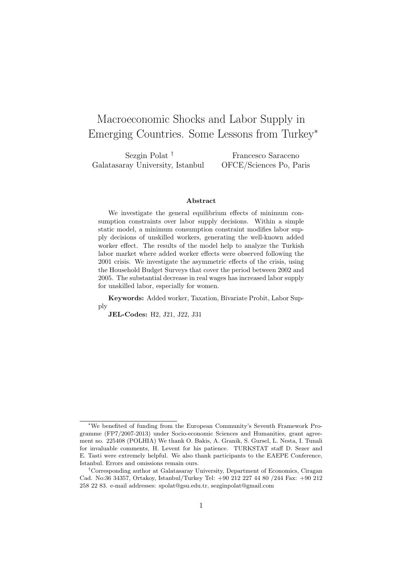# Macroeconomic Shocks and Labor Supply in Emerging Countries. Some Lessons from Turkey<sup>∗</sup>

Sezgin Polat † Galatasaray University, Istanbul

Francesco Saraceno OFCE/Sciences Po, Paris

#### Abstract

We investigate the general equilibrium effects of minimum consumption constraints over labor supply decisions. Within a simple static model, a minimum consumption constraint modifies labor supply decisions of unskilled workers, generating the well-known added worker effect. The results of the model help to analyze the Turkish labor market where added worker effects were observed following the 2001 crisis. We investigate the asymmetric effects of the crisis, using the Household Budget Surveys that cover the period between 2002 and 2005. The substantial decrease in real wages has increased labor supply for unskilled labor, especially for women.

Keywords: Added worker, Taxation, Bivariate Probit, Labor Supply

JEL-Codes: H2, J21, J22, J31

<sup>∗</sup>We benefited of funding from the European Community's Seventh Framework Programme (FP7/2007-2013) under Socio-economic Sciences and Humanities, grant agreement no. 225408 (POLHIA) We thank O. Bakis, A. Granik, S. Gursel, L. Nesta, I. Tunali for invaluable comments, H. Levent for his patience. TURKSTAT staff D. Sezer and E. Tasti were extremely helpful. We also thank participants to the EAEPE Conference, Istanbul. Errors and omissions remain ours.

<sup>†</sup>Corresponding author at Galatasaray University, Department of Economics, Ciragan Cad. No:36 34357, Ortakoy, Istanbul/Turkey Tel: +90 212 227 44 80 /244 Fax: +90 212 258 22 83. e-mail addresses: spolat@gsu.edu.tr, sezginpolat@gmail.com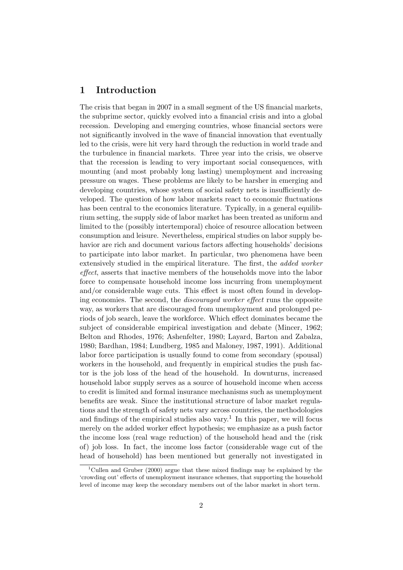#### 1 Introduction

The crisis that began in 2007 in a small segment of the US financial markets, the subprime sector, quickly evolved into a financial crisis and into a global recession. Developing and emerging countries, whose financial sectors were not significantly involved in the wave of financial innovation that eventually led to the crisis, were hit very hard through the reduction in world trade and the turbulence in financial markets. Three year into the crisis, we observe that the recession is leading to very important social consequences, with mounting (and most probably long lasting) unemployment and increasing pressure on wages. These problems are likely to be harsher in emerging and developing countries, whose system of social safety nets is insufficiently developed. The question of how labor markets react to economic fluctuations has been central to the economics literature. Typically, in a general equilibrium setting, the supply side of labor market has been treated as uniform and limited to the (possibly intertemporal) choice of resource allocation between consumption and leisure. Nevertheless, empirical studies on labor supply behavior are rich and document various factors affecting households' decisions to participate into labor market. In particular, two phenomena have been extensively studied in the empirical literature. The first, the added worker effect, asserts that inactive members of the households move into the labor force to compensate household income loss incurring from unemployment and/or considerable wage cuts. This effect is most often found in developing economies. The second, the discouraged worker effect runs the opposite way, as workers that are discouraged from unemployment and prolonged periods of job search, leave the workforce. Which effect dominates became the subject of considerable empirical investigation and debate (Mincer, 1962; Belton and Rhodes, 1976; Ashenfelter, 1980; Layard, Barton and Zabalza, 1980; Bardhan, 1984; Lundberg, 1985 and Maloney, 1987, 1991). Additional labor force participation is usually found to come from secondary (spousal) workers in the household, and frequently in empirical studies the push factor is the job loss of the head of the household. In downturns, increased household labor supply serves as a source of household income when access to credit is limited and formal insurance mechanisms such as unemployment benefits are weak. Since the institutional structure of labor market regulations and the strength of safety nets vary across countries, the methodologies and findings of the empirical studies also vary.<sup>1</sup> In this paper, we will focus merely on the added worker effect hypothesis; we emphasize as a push factor the income loss (real wage reduction) of the household head and the (risk of) job loss. In fact, the income loss factor (considerable wage cut of the head of household) has been mentioned but generally not investigated in

<sup>&</sup>lt;sup>1</sup>Cullen and Gruber (2000) argue that these mixed findings may be explained by the 'crowding out' effects of unemployment insurance schemes, that supporting the household level of income may keep the secondary members out of the labor market in short term.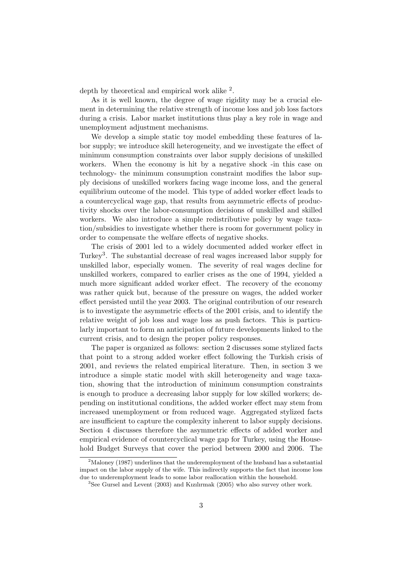depth by theoretical and empirical work alike <sup>2</sup>.

As it is well known, the degree of wage rigidity may be a crucial element in determining the relative strength of income loss and job loss factors during a crisis. Labor market institutions thus play a key role in wage and unemployment adjustment mechanisms.

We develop a simple static toy model embedding these features of labor supply; we introduce skill heterogeneity, and we investigate the effect of minimum consumption constraints over labor supply decisions of unskilled workers. When the economy is hit by a negative shock -in this case on technology- the minimum consumption constraint modifies the labor supply decisions of unskilled workers facing wage income loss, and the general equilibrium outcome of the model. This type of added worker effect leads to a countercyclical wage gap, that results from asymmetric effects of productivity shocks over the labor-consumption decisions of unskilled and skilled workers. We also introduce a simple redistributive policy by wage taxation/subsidies to investigate whether there is room for government policy in order to compensate the welfare effects of negative shocks.

The crisis of 2001 led to a widely documented added worker effect in Turkey<sup>3</sup>. The substantial decrease of real wages increased labor supply for unskilled labor, especially women. The severity of real wages decline for unskilled workers, compared to earlier crises as the one of 1994, yielded a much more significant added worker effect. The recovery of the economy was rather quick but, because of the pressure on wages, the added worker effect persisted until the year 2003. The original contribution of our research is to investigate the asymmetric effects of the 2001 crisis, and to identify the relative weight of job loss and wage loss as push factors. This is particularly important to form an anticipation of future developments linked to the current crisis, and to design the proper policy responses.

The paper is organized as follows: section 2 discusses some stylized facts that point to a strong added worker effect following the Turkish crisis of 2001, and reviews the related empirical literature. Then, in section 3 we introduce a simple static model with skill heterogeneity and wage taxation, showing that the introduction of minimum consumption constraints is enough to produce a decreasing labor supply for low skilled workers; depending on institutional conditions, the added worker effect may stem from increased unemployment or from reduced wage. Aggregated stylized facts are insufficient to capture the complexity inherent to labor supply decisions. Section 4 discusses therefore the asymmetric effects of added worker and empirical evidence of countercyclical wage gap for Turkey, using the Household Budget Surveys that cover the period between 2000 and 2006. The

 $2^2$ Maloney (1987) underlines that the underemployment of the husband has a substantial impact on the labor supply of the wife. This indirectly supports the fact that income loss due to underemployment leads to some labor reallocation within the household.

<sup>&</sup>lt;sup>3</sup>See Gursel and Levent (2003) and Kızılırmak (2005) who also survey other work.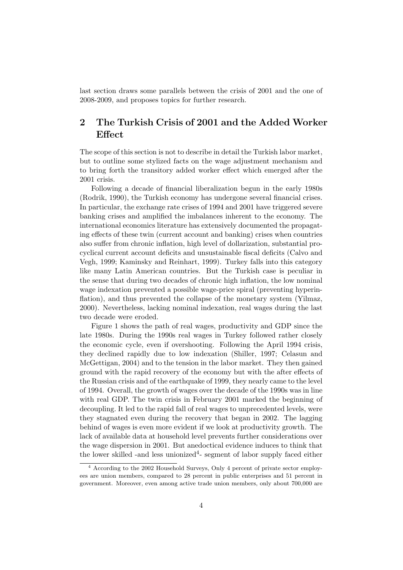last section draws some parallels between the crisis of 2001 and the one of 2008-2009, and proposes topics for further research.

### 2 The Turkish Crisis of 2001 and the Added Worker Effect

The scope of this section is not to describe in detail the Turkish labor market, but to outline some stylized facts on the wage adjustment mechanism and to bring forth the transitory added worker effect which emerged after the 2001 crisis.

Following a decade of financial liberalization begun in the early 1980s (Rodrik, 1990), the Turkish economy has undergone several financial crises. In particular, the exchange rate crises of 1994 and 2001 have triggered severe banking crises and amplified the imbalances inherent to the economy. The international economics literature has extensively documented the propagating effects of these twin (current account and banking) crises when countries also suffer from chronic inflation, high level of dollarization, substantial procyclical current account deficits and unsustainable fiscal deficits (Calvo and Vegh, 1999; Kaminsky and Reinhart, 1999). Turkey falls into this category like many Latin American countries. But the Turkish case is peculiar in the sense that during two decades of chronic high inflation, the low nominal wage indexation prevented a possible wage-price spiral (preventing hyperinflation), and thus prevented the collapse of the monetary system (Yilmaz, 2000). Nevertheless, lacking nominal indexation, real wages during the last two decade were eroded.

Figure 1 shows the path of real wages, productivity and GDP since the late 1980s. During the 1990s real wages in Turkey followed rather closely the economic cycle, even if overshooting. Following the April 1994 crisis, they declined rapidly due to low indexation (Shiller, 1997; Celasun and McGettigan, 2004) and to the tension in the labor market. They then gained ground with the rapid recovery of the economy but with the after effects of the Russian crisis and of the earthquake of 1999, they nearly came to the level of 1994. Overall, the growth of wages over the decade of the 1990s was in line with real GDP. The twin crisis in February 2001 marked the beginning of decoupling. It led to the rapid fall of real wages to unprecedented levels, were they stagnated even during the recovery that began in 2002. The lagging behind of wages is even more evident if we look at productivity growth. The lack of available data at household level prevents further considerations over the wage dispersion in 2001. But anedoctical evidence induces to think that the lower skilled -and less unionized<sup>4</sup>- segment of labor supply faced either

<sup>4</sup> According to the 2002 Household Surveys, Only 4 percent of private sector employees are union members, compared to 28 percent in public enterprises and 51 percent in government. Moreover, even among active trade union members, only about 700,000 are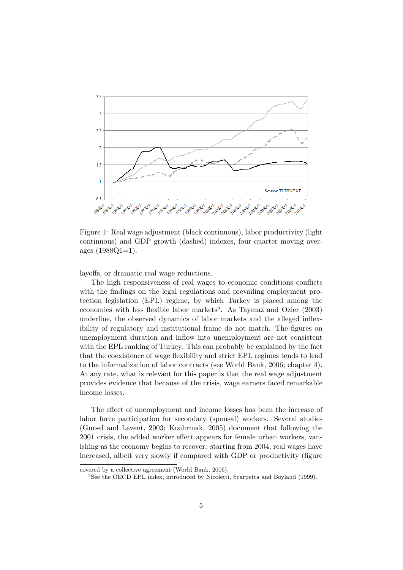

Figure 1: Real wage adjustment (black continuous), labor productivity (light continuous) and GDP growth (dashed) indexes, four quarter moving averages  $(1988Q1=1)$ .

layoffs, or dramatic real wage reductions.

The high responsiveness of real wages to economic conditions conflicts with the findings on the legal regulations and prevailing employment protection legislation (EPL) regime, by which Turkey is placed among the economies with less flexible labor markets<sup>5</sup>. As Taymaz and Ozler  $(2003)$ underline, the observed dynamics of labor markets and the alleged inflexibility of regulatory and institutional frame do not match. The figures on unemployment duration and inflow into unemployment are not consistent with the EPL ranking of Turkey. This can probably be explained by the fact that the coexistence of wage flexibility and strict EPL regimes tends to lead to the informalization of labor contracts (see World Bank, 2006; chapter 4). At any rate, what is relevant for this paper is that the real wage adjustment provides evidence that because of the crisis, wage earners faced remarkable income losses.

The effect of unemployment and income losses has been the increase of labor force participation for secondary (spousal) workers. Several studies (Gursel and Levent, 2003; Kızılırmak, 2005) document that following the 2001 crisis, the added worker effect appears for female urban workers, vanishing as the economy begins to recover: starting from 2004, real wages have increased, albeit very slowly if compared with GDP or productivity (figure

covered by a collective agreement (World Bank, 2006).

<sup>&</sup>lt;sup>5</sup>See the OECD EPL index, introduced by Nicoletti, Scarpetta and Boylaud (1999).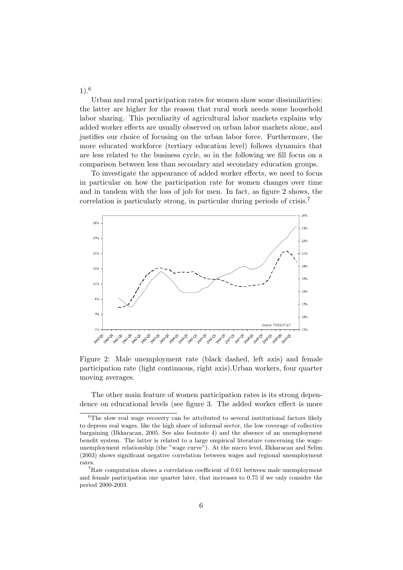1).<sup>6</sup>

Urban and rural participation rates for women show some dissimilarities: the latter are higher for the reason that rural work needs some household labor sharing. This peculiarity of agricultural labor markets explains why added worker effects are usually observed on urban labor markets alone, and justifies our choice of focusing on the urban labor force. Furthermore, the more educated workforce (tertiary education level) follows dynamics that are less related to the business cycle, so in the following we fill focus on a comparison between less than secondary and secondary education groups.

To investigate the appearance of added worker effects, we need to focus in particular on how the participation rate for women changes over time and in tandem with the loss of job for men. In fact, as figure 2 shows, the correlation is particularly strong, in particular during periods of crisis.<sup>7</sup>



Figure 2: Male unemployment rate (black dashed, left axis) and female participation rate (light continuous, right axis).Urban workers, four quarter moving averages.

The other main feature of women participation rates is its strong dependence on educational levels (see figure 3. The added worker effect is more

 ${}^{6}$ The slow real wage recovery can be attributed to several institutional factors likely to depress real wages, like the high share of informal sector, the low coverage of collective bargaining (Ilkkaracan, 2005. See also footnote 4) and the absence of an unemployment benefit system. The latter is related to a large empirical literature concerning the wageunemployment relationship (the "wage curve"). At the micro level, Ilkkaracan and Selim (2003) shows significant negative correlation between wages and regional unemployment rates.

 ${}^{7}$ Raw computation shows a correlation coefficient of 0.61 between male unemployment and female participation one quarter later, that increases to 0.75 if we only consider the period 2000-2003.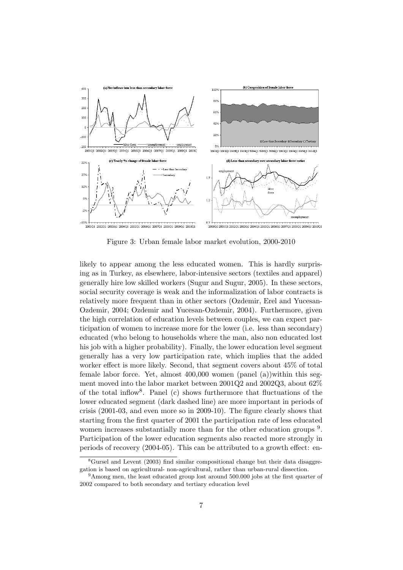

Figure 3: Urban female labor market evolution, 2000-2010

likely to appear among the less educated women. This is hardly surprising as in Turkey, as elsewhere, labor-intensive sectors (textiles and apparel) generally hire low skilled workers (Sugur and Sugur, 2005). In these sectors, social security coverage is weak and the informalization of labor contracts is relatively more frequent than in other sectors (Ozdemir, Erel and Yucesan-Ozdemir, 2004; Ozdemir and Yucesan-Ozdemir, 2004). Furthermore, given the high correlation of education levels between couples, we can expect participation of women to increase more for the lower (i.e. less than secondary) educated (who belong to households where the man, also non educated lost his job with a higher probability). Finally, the lower education level segment generally has a very low participation rate, which implies that the added worker effect is more likely. Second, that segment covers about 45% of total female labor force. Yet, almost 400,000 women (panel (a))within this segment moved into the labor market between 2001Q2 and 2002Q3, about 62% of the total inflow<sup>8</sup> . Panel (c) shows furthermore that fluctuations of the lower educated segment (dark dashed line) are more important in periods of crisis (2001-03, and even more so in 2009-10). The figure clearly shows that starting from the first quarter of 2001 the participation rate of less educated women increases substantially more than for the other education groups  $9$ . Participation of the lower education segments also reacted more strongly in periods of recovery (2004-05). This can be attributed to a growth effect: en-

<sup>&</sup>lt;sup>8</sup>Gursel and Levent (2003) find similar compositional change but their data disaggregation is based on agricultural- non-agricultural, rather than urban-rural dissection.

<sup>&</sup>lt;sup>9</sup>Among men, the least educated group lost around 500.000 jobs at the first quarter of 2002 compared to both secondary and tertiary education level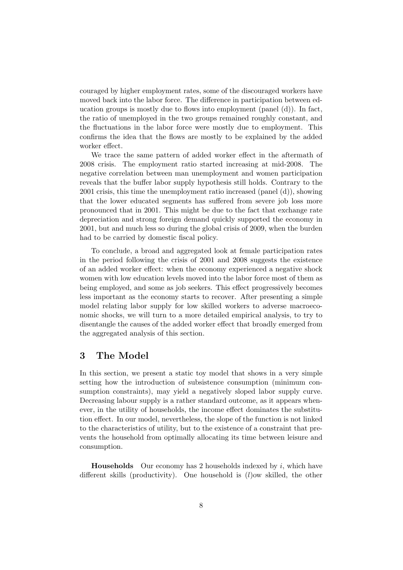couraged by higher employment rates, some of the discouraged workers have moved back into the labor force. The difference in participation between education groups is mostly due to flows into employment (panel (d)). In fact, the ratio of unemployed in the two groups remained roughly constant, and the fluctuations in the labor force were mostly due to employment. This confirms the idea that the flows are mostly to be explained by the added worker effect.

We trace the same pattern of added worker effect in the aftermath of 2008 crisis. The employment ratio started increasing at mid-2008. The negative correlation between man unemployment and women participation reveals that the buffer labor supply hypothesis still holds. Contrary to the 2001 crisis, this time the unemployment ratio increased  $(\text{panel } (d))$ , showing that the lower educated segments has suffered from severe job loss more pronounced that in 2001. This might be due to the fact that exchange rate depreciation and strong foreign demand quickly supported the economy in 2001, but and much less so during the global crisis of 2009, when the burden had to be carried by domestic fiscal policy.

To conclude, a broad and aggregated look at female participation rates in the period following the crisis of 2001 and 2008 suggests the existence of an added worker effect: when the economy experienced a negative shock women with low education levels moved into the labor force most of them as being employed, and some as job seekers. This effect progressively becomes less important as the economy starts to recover. After presenting a simple model relating labor supply for low skilled workers to adverse macroeconomic shocks, we will turn to a more detailed empirical analysis, to try to disentangle the causes of the added worker effect that broadly emerged from the aggregated analysis of this section.

#### 3 The Model

In this section, we present a static toy model that shows in a very simple setting how the introduction of subsistence consumption (minimum consumption constraints), may yield a negatively sloped labor supply curve. Decreasing labour supply is a rather standard outcome, as it appears whenever, in the utility of households, the income effect dominates the substitution effect. In our model, nevertheless, the slope of the function is not linked to the characteristics of utility, but to the existence of a constraint that prevents the household from optimally allocating its time between leisure and consumption.

**Households** Our economy has 2 households indexed by  $i$ , which have different skills (productivity). One household is (l)ow skilled, the other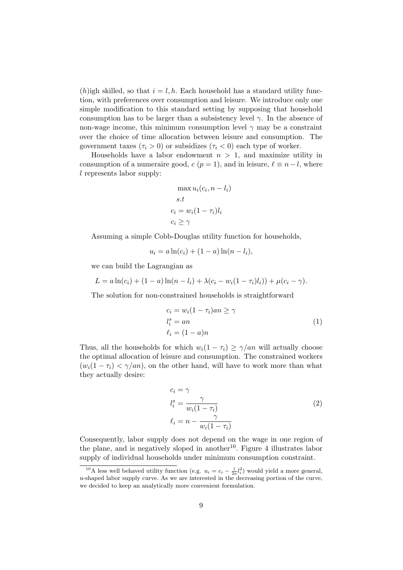(h)igh skilled, so that  $i = l, h$ . Each household has a standard utility function, with preferences over consumption and leisure. We introduce only one simple modification to this standard setting by supposing that household consumption has to be larger than a subsistency level  $\gamma$ . In the absence of non-wage income, this minimum consumption level  $\gamma$  may be a constraint over the choice of time allocation between leisure and consumption. The government taxes  $(\tau_i > 0)$  or subsidizes  $(\tau_i < 0)$  each type of worker.

Households have a labor endowment  $n > 1$ , and maximize utility in consumption of a numeraire good,  $c (p = 1)$ , and in leisure,  $\ell \equiv n - l$ , where l represents labor supply:

$$
\max u_i(c_i, n - l_i)
$$
  
s.t  

$$
c_i = w_i(1 - \tau_i)l_i
$$
  

$$
c_i \ge \gamma
$$

Assuming a simple Cobb-Douglas utility function for households,

$$
u_i = a \ln(c_i) + (1 - a) \ln(n - l_i),
$$

we can build the Lagrangian as

$$
L = a \ln(c_i) + (1 - a) \ln(n - l_i) + \lambda(c_i - w_i(1 - \tau_i)l_i)) + \mu(c_i - \gamma).
$$

The solution for non-constrained households is straightforward

$$
c_i = w_i (1 - \tau_i) a_n \ge \gamma
$$
  
\n
$$
l_i^s = a_n
$$
  
\n
$$
\ell_i = (1 - a)n
$$
\n(1)

Thus, all the households for which  $w_i(1 - \tau_i) \geq \gamma / an$  will actually choose the optimal allocation of leisure and consumption. The constrained workers  $(w_i(1 - \tau_i) < \gamma / an)$ , on the other hand, will have to work more than what they actually desire:

$$
c_i = \gamma
$$
  
\n
$$
l_i^s = \frac{\gamma}{w_i(1 - \tau_i)}
$$
  
\n
$$
\ell_i = n - \frac{\gamma}{w_i(1 - \tau_i)}
$$
\n(2)

Consequently, labor supply does not depend on the wage in one region of the plane, and is negatively sloped in another<sup>10</sup>. Figure 4 illustrates labor supply of individual households under minimum consumption constraint.

<sup>&</sup>lt;sup>10</sup>A less well behaved utility function (e.g.  $u_i = c_i - \frac{1}{2a}l_i^2$ ) would yield a more general, u-shaped labor supply curve. As we are interested in the decreasing portion of the curve, we decided to keep an analytically more convenient formulation.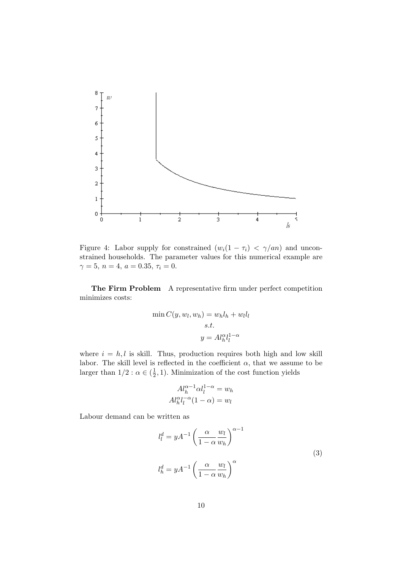

Figure 4: Labor supply for constrained  $(w_i(1 - \tau_i) < \gamma/a_n)$  and unconstrained households. The parameter values for this numerical example are  $\gamma = 5, n = 4, a = 0.35, \tau_i = 0.$ 

The Firm Problem A representative firm under perfect competition minimizes costs:

$$
\min C(y, w_l, w_h) = w_h l_h + w_l l_l
$$
  
s.t.  

$$
y = Al_h^{\alpha} l_l^{1-\alpha}
$$

where  $i = h, l$  is skill. Thus, production requires both high and low skill labor. The skill level is reflected in the coefficient  $\alpha$ , that we assume to be larger than  $1/2$ :  $\alpha \in (\frac{1}{2})$  $(\frac{1}{2}, 1)$ . Minimization of the cost function yields

$$
Al_{h}^{\alpha-1}\alpha l_{l}^{1-\alpha} = w_{h}
$$

$$
Al_{h}^{\alpha}l_{l}^{-\alpha}(1-\alpha) = w_{l}
$$

Labour demand can be written as

$$
l_l^d = yA^{-1} \left(\frac{\alpha}{1-\alpha} \frac{w_l}{w_h}\right)^{\alpha-1}
$$
  

$$
l_h^d = yA^{-1} \left(\frac{\alpha}{1-\alpha} \frac{w_l}{w_h}\right)^{\alpha}
$$
 (3)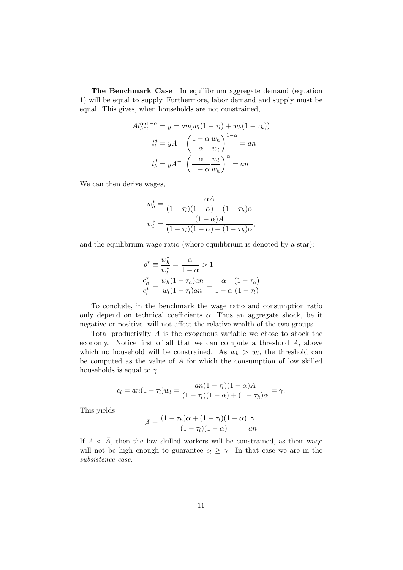The Benchmark Case In equilibrium aggregate demand (equation 1) will be equal to supply. Furthermore, labor demand and supply must be equal. This gives, when households are not constrained,

$$
Al_h^{\alpha} l_l^{1-\alpha} = y = an(w_l(1-\tau_l) + w_h(1-\tau_h))
$$

$$
l_l^d = yA^{-1} \left(\frac{1-\alpha w_h}{\alpha w_l}\right)^{1-\alpha} = an
$$

$$
l_h^d = yA^{-1} \left(\frac{\alpha}{1-\alpha w_h}\right)^{\alpha} = an
$$

We can then derive wages,

$$
w_h^* = \frac{\alpha A}{(1 - \tau_l)(1 - \alpha) + (1 - \tau_h)\alpha}
$$

$$
w_l^* = \frac{(1 - \alpha)A}{(1 - \tau_l)(1 - \alpha) + (1 - \tau_h)\alpha},
$$

and the equilibrium wage ratio (where equilibrium is denoted by a star):

$$
\rho^* \equiv \frac{w_h^*}{w_l^*} = \frac{\alpha}{1 - \alpha} > 1
$$
  

$$
\frac{c_h^*}{c_l^*} = \frac{w_h(1 - \tau_h)an}{w_l(1 - \tau_l)an} = \frac{\alpha}{1 - \alpha} \frac{(1 - \tau_h)}{(1 - \tau_l)}
$$

To conclude, in the benchmark the wage ratio and consumption ratio only depend on technical coefficients  $\alpha$ . Thus an aggregate shock, be it negative or positive, will not affect the relative wealth of the two groups.

Total productivity A is the exogenous variable we chose to shock the economy. Notice first of all that we can compute a threshold  $A$ , above which no household will be constrained. As  $w_h > w_l$ , the threshold can be computed as the value of A for which the consumption of low skilled households is equal to  $\gamma$ .

$$
c_l = an(1 - \tau_l)w_l = \frac{an(1 - \tau_l)(1 - \alpha)A}{(1 - \tau_l)(1 - \alpha) + (1 - \tau_h)\alpha} = \gamma.
$$

This yields

$$
\bar{A} = \frac{(1 - \tau_h)\alpha + (1 - \tau_l)(1 - \alpha)}{(1 - \tau_l)(1 - \alpha)}\frac{\gamma}{an}
$$

If  $A < \overline{A}$ , then the low skilled workers will be constrained, as their wage will not be high enough to guarantee  $c_l \geq \gamma$ . In that case we are in the subsistence case.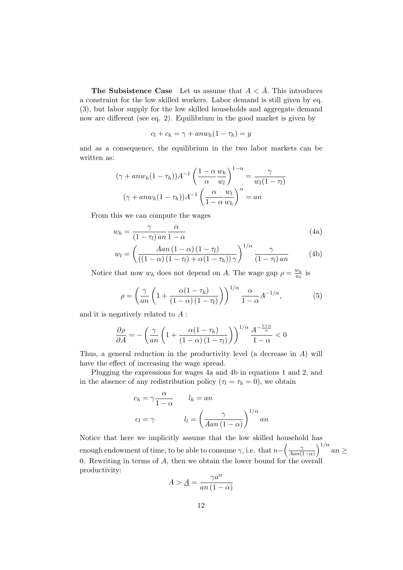**The Subsistence Case** Let us assume that  $A < \overline{A}$ . This introduces a constraint for the low skilled workers. Labor demand is still given by eq. (3), but labor supply for the low skilled households and aggregate demand now are different (see eq. 2). Equilibrium in the good market is given by

$$
c_l + c_h = \gamma + anw_h(1 - \tau_h) = y
$$

and as a consequence, the equilibrium in the two labor markets can be written as:

$$
(\gamma + anw_h(1 - \tau_h))A^{-1} \left(\frac{1 - \alpha w_h}{\alpha w_l}\right)^{1 - \alpha} = \frac{\gamma}{w_l(1 - \tau_l)}
$$

$$
(\gamma + anw_h(1 - \tau_h))A^{-1} \left(\frac{\alpha w_l}{1 - \alpha w_h}\right)^{\alpha} = an
$$

From this we can compute the wages

$$
w_h = \frac{\gamma}{(1 - \tau_l) \operatorname{an} \overline{1 - \alpha}} \tag{4a}
$$

$$
w_l = \left(\frac{Aan\left(1-\alpha\right)\left(1-\tau_l\right)}{\left(\left(1-\alpha\right)\left(1-\tau_l\right)+\alpha\left(1-\tau_h\right)\right)\gamma}\right)^{1/\alpha} \frac{\gamma}{\left(1-\tau_l\right)an} \tag{4b}
$$

Notice that now  $w_h$  does not depend on A. The wage gap  $\rho = \frac{w_h}{w_h}$  $\frac{w_h}{w_l}$  is

$$
\rho = \left(\frac{\gamma}{an}\left(1 + \frac{\alpha(1-\tau_h)}{(1-\alpha)(1-\tau_h)}\right)\right)^{1/\alpha} \frac{\alpha}{1-\alpha} A^{-1/\alpha},\tag{5}
$$

and it is negatively related to  $A$ :

$$
\frac{\partial \rho}{\partial A} = -\left(\frac{\gamma}{an}\left(1 + \frac{\alpha(1-\tau_h)}{(1-\alpha)(1-\tau_l)}\right)\right)^{1/\alpha} \frac{A^{-\frac{1+\alpha}{\alpha}}}{1-\alpha} < 0
$$

Thus, a general reduction in the productivity level (a decrease in A) will have the effect of increasing the wage spread.

Plugging the expressions for wages 4a and 4b in equations 1 and 2, and in the absence of any redistribution policy ( $\tau_l = \tau_h = 0$ ), we obtain

$$
c_h = \gamma \frac{\alpha}{1 - \alpha} \qquad l_h = an
$$
  

$$
c_l = \gamma \qquad l_l = \left(\frac{\gamma}{Aan(1 - \alpha)}\right)^{1/\alpha} an
$$

Notice that here we implicitly assume that the low skilled household has enough endowment of time, to be able to consume  $\gamma$ , i.e. that  $n - \left(\frac{\gamma}{4\alpha n}\right)^2$  $\frac{\gamma}{\tan(1-\alpha)}\Big)^{1/\alpha}$  an  $\geq$ 0. Rewriting in terms of  $A$ , then we obtain the lower bound for the overall productivity:

$$
A > \underline{A} = \frac{\gamma a^{\alpha}}{an(1 - \alpha)}
$$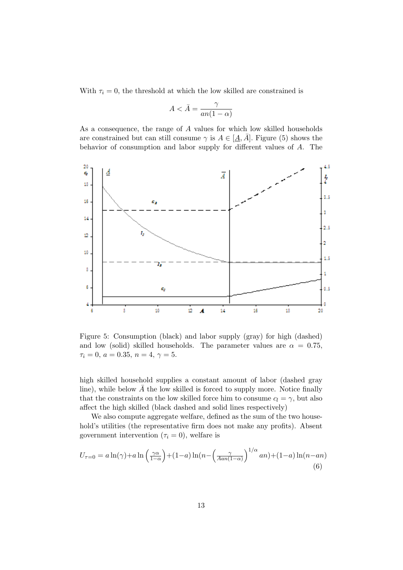With  $\tau_i = 0$ , the threshold at which the low skilled are constrained is

$$
A < \bar{A} = \frac{\gamma}{an(1-\alpha)}
$$

As a consequence, the range of A values for which low skilled households are constrained but can still consume  $\gamma$  is  $A \in [A, \overline{A}]$ . Figure (5) shows the behavior of consumption and labor supply for different values of A. The



Figure 5: Consumption (black) and labor supply (gray) for high (dashed) and low (solid) skilled households. The parameter values are  $\alpha = 0.75$ ,  $\tau_i = 0, a = 0.35, n = 4, \gamma = 5.$ 

high skilled household supplies a constant amount of labor (dashed gray line), while below  $\overline{A}$  the low skilled is forced to supply more. Notice finally that the constraints on the low skilled force him to consume  $c_l = \gamma$ , but also affect the high skilled (black dashed and solid lines respectively)

We also compute aggregate welfare, defined as the sum of the two household's utilities (the representative firm does not make any profits). Absent government intervention ( $\tau_i = 0$ ), welfare is

$$
U_{\tau=0} = a \ln(\gamma) + a \ln\left(\frac{\gamma \alpha}{1-\alpha}\right) + (1-a) \ln(n - \left(\frac{\gamma}{Aan(1-\alpha)}\right)^{1/\alpha}an) + (1-a) \ln(n-an)
$$
\n(6)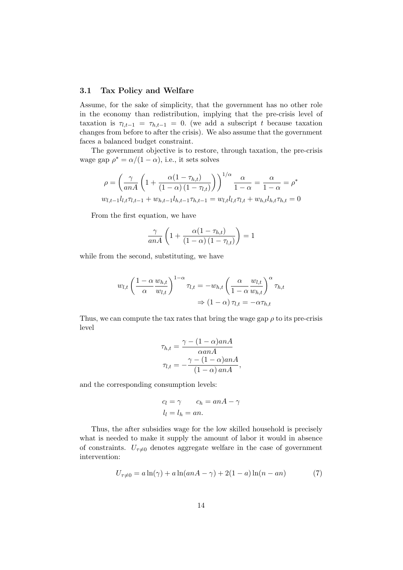#### 3.1 Tax Policy and Welfare

Assume, for the sake of simplicity, that the government has no other role in the economy than redistribution, implying that the pre-crisis level of taxation is  $\tau_{l,t-1} = \tau_{h,t-1} = 0$ . (we add a subscript t because taxation changes from before to after the crisis). We also assume that the government faces a balanced budget constraint.

The government objective is to restore, through taxation, the pre-crisis wage gap  $\rho^* = \alpha/(1-\alpha)$ , i.e., it sets solves

$$
\rho = \left(\frac{\gamma}{anA} \left(1 + \frac{\alpha (1 - \tau_{h,t})}{(1 - \alpha) (1 - \tau_{l,t})}\right)\right)^{1/\alpha} \frac{\alpha}{1 - \alpha} = \frac{\alpha}{1 - \alpha} = \rho^*
$$
  

$$
w_{l,t-1} l_{l,t} \tau_{l,t-1} + w_{h,t-1} l_{h,t-1} \tau_{h,t-1} = w_{l,t} l_{l,t} \tau_{l,t} + w_{h,t} l_{h,t} \tau_{h,t} = 0
$$

From the first equation, we have

$$
\frac{\gamma}{anA}\left(1+\frac{\alpha(1-\tau_{h,t})}{(1-\alpha)(1-\tau_{l,t})}\right)=1
$$

while from the second, substituting, we have

$$
w_{l,t} \left(\frac{1-\alpha}{\alpha} \frac{w_{h,t}}{w_{l,t}}\right)^{1-\alpha} \tau_{l,t} = -w_{h,t} \left(\frac{\alpha}{1-\alpha} \frac{w_{l,t}}{w_{h,t}}\right)^{\alpha} \tau_{h,t}
$$

$$
\Rightarrow (1-\alpha) \tau_{l,t} = -\alpha \tau_{h,t}
$$

Thus, we can compute the tax rates that bring the wage gap  $\rho$  to its pre-crisis level

$$
\tau_{h,t} = \frac{\gamma - (1 - \alpha)anA}{\alpha a n A}
$$

$$
\tau_{l,t} = -\frac{\gamma - (1 - \alpha)anA}{(1 - \alpha)anA},
$$

and the corresponding consumption levels:

$$
c_l = \gamma \qquad c_h = anA - \gamma
$$
  

$$
l_l = l_h = an.
$$

Thus, the after subsidies wage for the low skilled household is precisely what is needed to make it supply the amount of labor it would in absence of constraints.  $U_{\tau\neq0}$  denotes aggregate welfare in the case of government intervention:

$$
U_{\tau \neq 0} = a \ln(\gamma) + a \ln(anA - \gamma) + 2(1 - a) \ln(n - an)
$$
 (7)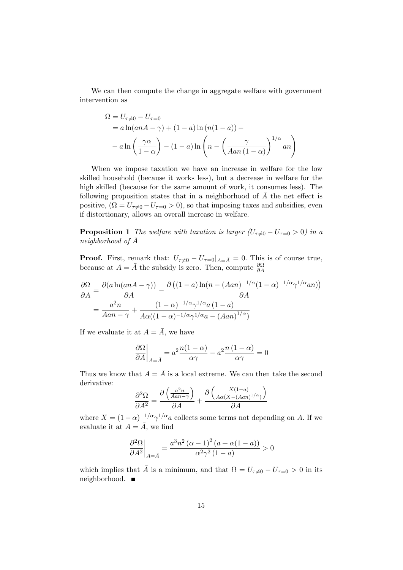We can then compute the change in aggregate welfare with government intervention as

$$
\Omega = U_{\tau \neq 0} - U_{\tau = 0}
$$
  
=  $a \ln(anA - \gamma) + (1 - a) \ln(n(1 - a)) -$   
 $- a \ln\left(\frac{\gamma \alpha}{1 - \alpha}\right) - (1 - a) \ln\left(n - \left(\frac{\gamma}{Aan(1 - \alpha)}\right)^{1/\alpha}an\right)$ 

When we impose taxation we have an increase in welfare for the low skilled household (because it works less), but a decrease in welfare for the high skilled (because for the same amount of work, it consumes less). The following proposition states that in a neighborhood of  $\overline{A}$  the net effect is positive,  $(\Omega = U_{\tau \neq 0} - U_{\tau=0} > 0)$ , so that imposing taxes and subsidies, even if distortionary, allows an overall increase in welfare.

**Proposition 1** The welfare with taxation is larger  $(U_{\tau\neq0}-U_{\tau=0}>0)$  in a neighborhood of  $\bar{A}$ 

**Proof.** First, remark that:  $U_{\tau\neq0}-U_{\tau=0}|_{A=\bar{A}}=0$ . This is of course true, because at  $A = \overline{A}$  the subsidy is zero. Then, compute  $\frac{\partial \Omega}{\partial A}$ 

$$
\frac{\partial \Omega}{\partial A} = \frac{\partial (a \ln(anA - \gamma))}{\partial A} - \frac{\partial ((1 - a) \ln(n - (Aan)^{-1/\alpha}(1 - \alpha)^{-1/\alpha}\gamma^{1/\alpha}an))}{\partial A}
$$

$$
= \frac{a^2n}{Aan - \gamma} + \frac{(1 - \alpha)^{-1/\alpha}\gamma^{1/\alpha}a(1 - a)}{A\alpha((1 - \alpha)^{-1/\alpha}\gamma^{1/\alpha}a - (Aan)^{1/\alpha})}
$$

If we evaluate it at  $A = \overline{A}$ , we have

$$
\left. \frac{\partial \Omega}{\partial A} \right|_{A = \bar{A}} = a^2 \frac{n(1 - \alpha)}{\alpha \gamma} - a^2 \frac{n(1 - \alpha)}{\alpha \gamma} = 0
$$

Thus we know that  $A = \overline{A}$  is a local extreme. We can then take the second derivative:

$$
\frac{\partial^2 \Omega}{\partial A^2} = \frac{\partial \left(\frac{a^2 n}{A a n - \gamma}\right)}{\partial A} + \frac{\partial \left(\frac{X(1-a)}{A \alpha (X - (A a n)^{1/\alpha})}\right)}{\partial A}
$$

where  $X = (1 - \alpha)^{-1/\alpha} \gamma^{1/\alpha} a$  collects some terms not depending on A. If we evaluate it at  $A = \overline{A}$ , we find

$$
\left.\frac{\partial^2 \Omega}{\partial A^2}\right|_{A=\bar{A}}=\frac{a^3n^2\left(\alpha-1\right)^2\left(a+\alpha(1-a)\right)}{\alpha^2\gamma^2\left(1-a\right)}>0
$$

which implies that  $\bar{A}$  is a minimum, and that  $\Omega = U_{\tau=0} - U_{\tau=0} > 0$  in its neighborhood. ■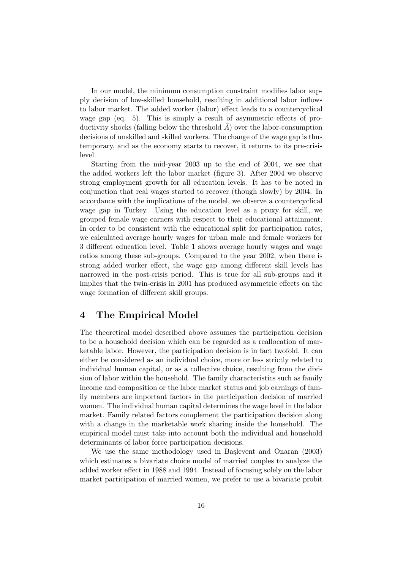In our model, the minimum consumption constraint modifies labor supply decision of low-skilled household, resulting in additional labor inflows to labor market. The added worker (labor) effect leads to a countercyclical wage gap (eq. 5). This is simply a result of asymmetric effects of productivity shocks (falling below the threshold  $A$ ) over the labor-consumption decisions of unskilled and skilled workers. The change of the wage gap is thus temporary, and as the economy starts to recover, it returns to its pre-crisis level.

Starting from the mid-year 2003 up to the end of 2004, we see that the added workers left the labor market (figure 3). After 2004 we observe strong employment growth for all education levels. It has to be noted in conjunction that real wages started to recover (though slowly) by 2004. In accordance with the implications of the model, we observe a countercyclical wage gap in Turkey. Using the education level as a proxy for skill, we grouped female wage earners with respect to their educational attainment. In order to be consistent with the educational split for participation rates, we calculated average hourly wages for urban male and female workers for 3 different education level. Table 1 shows average hourly wages and wage ratios among these sub-groups. Compared to the year 2002, when there is strong added worker effect, the wage gap among different skill levels has narrowed in the post-crisis period. This is true for all sub-groups and it implies that the twin-crisis in 2001 has produced asymmetric effects on the wage formation of different skill groups.

#### 4 The Empirical Model

The theoretical model described above assumes the participation decision to be a household decision which can be regarded as a reallocation of marketable labor. However, the participation decision is in fact twofold. It can either be considered as an individual choice, more or less strictly related to individual human capital, or as a collective choice, resulting from the division of labor within the household. The family characteristics such as family income and composition or the labor market status and job earnings of family members are important factors in the participation decision of married women. The individual human capital determines the wage level in the labor market. Family related factors complement the participation decision along with a change in the marketable work sharing inside the household. The empirical model must take into account both the individual and household determinants of labor force participation decisions.

We use the same methodology used in Başlevent and Onaran (2003) which estimates a bivariate choice model of married couples to analyze the added worker effect in 1988 and 1994. Instead of focusing solely on the labor market participation of married women, we prefer to use a bivariate probit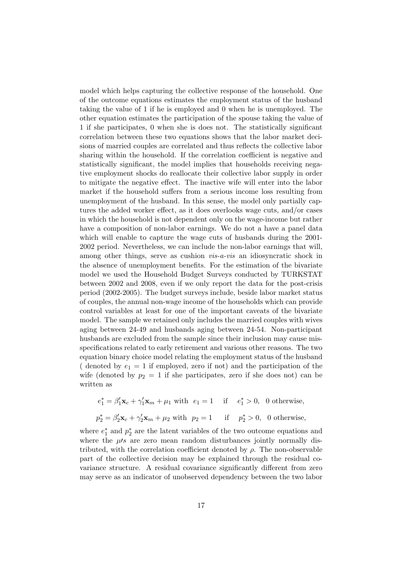model which helps capturing the collective response of the household. One of the outcome equations estimates the employment status of the husband taking the value of 1 if he is employed and 0 when he is unemployed. The other equation estimates the participation of the spouse taking the value of 1 if she participates, 0 when she is does not. The statistically significant correlation between these two equations shows that the labor market decisions of married couples are correlated and thus reflects the collective labor sharing within the household. If the correlation coefficient is negative and statistically significant, the model implies that households receiving negative employment shocks do reallocate their collective labor supply in order to mitigate the negative effect. The inactive wife will enter into the labor market if the household suffers from a serious income loss resulting from unemployment of the husband. In this sense, the model only partially captures the added worker effect, as it does overlooks wage cuts, and/or cases in which the household is not dependent only on the wage-income but rather have a composition of non-labor earnings. We do not a have a panel data which will enable to capture the wage cuts of husbands during the 2001- 2002 period. Nevertheless, we can include the non-labor earnings that will, among other things, serve as cushion vis-a-vis an idiosyncratic shock in the absence of unemployment benefits. For the estimation of the bivariate model we used the Household Budget Surveys conducted by TURKSTAT between 2002 and 2008, even if we only report the data for the post-crisis period (2002-2005). The budget surveys include, beside labor market status of couples, the annual non-wage income of the households which can provide control variables at least for one of the important caveats of the bivariate model. The sample we retained only includes the married couples with wives aging between 24-49 and husbands aging between 24-54. Non-participant husbands are excluded from the sample since their inclusion may cause misspecifications related to early retirement and various other reasons. The two equation binary choice model relating the employment status of the husband ( denoted by  $e_1 = 1$  if employed, zero if not) and the participation of the wife (denoted by  $p_2 = 1$  if she participates, zero if she does not) can be written as

$$
e_1^* = \beta_1' \mathbf{x}_c + \gamma_1' \mathbf{x}_m + \mu_1 \text{ with } e_1 = 1 \quad \text{if } e_1^* > 0, \text{ 0 otherwise,}
$$
\n
$$
p_2^* = \beta_2' \mathbf{x}_c + \gamma_2' \mathbf{x}_m + \mu_2 \text{ with } p_2 = 1 \quad \text{if } p_2^* > 0, \text{ 0 otherwise,}
$$

where  $e_1^*$  and  $p_2^*$  are the latent variables of the two outcome equations and where the  $\mu$ s are zero mean random disturbances jointly normally distributed, with the correlation coefficient denoted by  $\rho$ . The non-observable part of the collective decision may be explained through the residual covariance structure. A residual covariance significantly different from zero may serve as an indicator of unobserved dependency between the two labor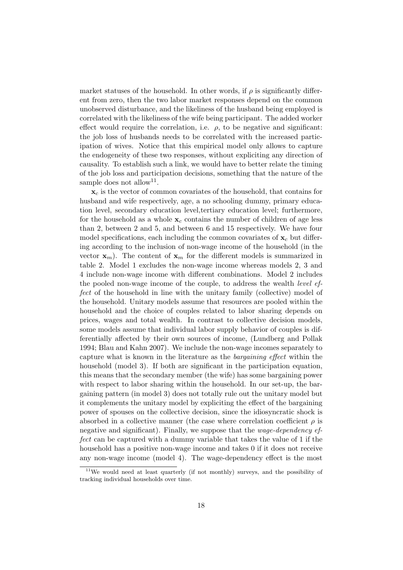market statuses of the household. In other words, if  $\rho$  is significantly different from zero, then the two labor market responses depend on the common unobserved disturbance, and the likeliness of the husband being employed is correlated with the likeliness of the wife being participant. The added worker effect would require the correlation, i.e.  $\rho$ , to be negative and significant: the job loss of husbands needs to be correlated with the increased participation of wives. Notice that this empirical model only allows to capture the endogeneity of these two responses, without expliciting any direction of causality. To establish such a link, we would have to better relate the timing of the job loss and participation decisions, something that the nature of the sample does not allow<sup>11</sup>.

 $x_c$  is the vector of common covariates of the household, that contains for husband and wife respectively, age, a no schooling dummy, primary education level, secondary education level,tertiary education level; furthermore, for the household as a whole  $x_c$  contains the number of children of age less than 2, between 2 and 5, and between 6 and 15 respectively. We have four model specifications, each including the common covariates of  $x_c$  but differing according to the inclusion of non-wage income of the household (in the vector  $\mathbf{x}_m$ ). The content of  $\mathbf{x}_m$  for the different models is summarized in table 2. Model 1 excludes the non-wage income whereas models 2, 3 and 4 include non-wage income with different combinations. Model 2 includes the pooled non-wage income of the couple, to address the wealth level effect of the household in line with the unitary family (collective) model of the household. Unitary models assume that resources are pooled within the household and the choice of couples related to labor sharing depends on prices, wages and total wealth. In contrast to collective decision models, some models assume that individual labor supply behavior of couples is differentially affected by their own sources of income, (Lundberg and Pollak 1994; Blau and Kahn 2007). We include the non-wage incomes separately to capture what is known in the literature as the bargaining effect within the household (model 3). If both are significant in the participation equation, this means that the secondary member (the wife) has some bargaining power with respect to labor sharing within the household. In our set-up, the bargaining pattern (in model 3) does not totally rule out the unitary model but it complements the unitary model by expliciting the effect of the bargaining power of spouses on the collective decision, since the idiosyncratic shock is absorbed in a collective manner (the case where correlation coefficient  $\rho$  is negative and significant). Finally, we suppose that the *wage-dependency ef*fect can be captured with a dummy variable that takes the value of 1 if the household has a positive non-wage income and takes 0 if it does not receive any non-wage income (model 4). The wage-dependency effect is the most

<sup>11</sup>We would need at least quarterly (if not monthly) surveys, and the possibility of tracking individual households over time.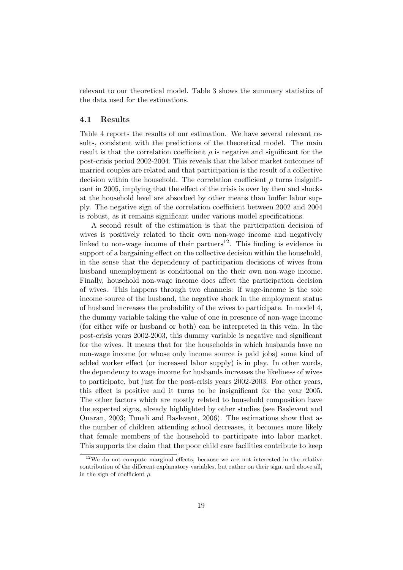relevant to our theoretical model. Table 3 shows the summary statistics of the data used for the estimations.

#### 4.1 Results

Table 4 reports the results of our estimation. We have several relevant results, consistent with the predictions of the theoretical model. The main result is that the correlation coefficient  $\rho$  is negative and significant for the post-crisis period 2002-2004. This reveals that the labor market outcomes of married couples are related and that participation is the result of a collective decision within the household. The correlation coefficient  $\rho$  turns insignificant in 2005, implying that the effect of the crisis is over by then and shocks at the household level are absorbed by other means than buffer labor supply. The negative sign of the correlation coefficient between 2002 and 2004 is robust, as it remains significant under various model specifications.

A second result of the estimation is that the participation decision of wives is positively related to their own non-wage income and negatively linked to non-wage income of their partners<sup>12</sup>. This finding is evidence in support of a bargaining effect on the collective decision within the household, in the sense that the dependency of participation decisions of wives from husband unemployment is conditional on the their own non-wage income. Finally, household non-wage income does affect the participation decision of wives. This happens through two channels: if wage-income is the sole income source of the husband, the negative shock in the employment status of husband increases the probability of the wives to participate. In model 4, the dummy variable taking the value of one in presence of non-wage income (for either wife or husband or both) can be interpreted in this vein. In the post-crisis years 2002-2003, this dummy variable is negative and significant for the wives. It means that for the households in which husbands have no non-wage income (or whose only income source is paid jobs) some kind of added worker effect (or increased labor supply) is in play. In other words, the dependency to wage income for husbands increases the likeliness of wives to participate, but just for the post-crisis years 2002-2003. For other years, this effect is positive and it turns to be insignificant for the year 2005. The other factors which are mostly related to household composition have the expected signs, already highlighted by other studies (see Baslevent and Onaran, 2003; Tunali and Baslevent, 2006). The estimations show that as the number of children attending school decreases, it becomes more likely that female members of the household to participate into labor market. This supports the claim that the poor child care facilities contribute to keep

<sup>12</sup>We do not compute marginal effects, because we are not interested in the relative contribution of the different explanatory variables, but rather on their sign, and above all, in the sign of coefficient  $\rho$ .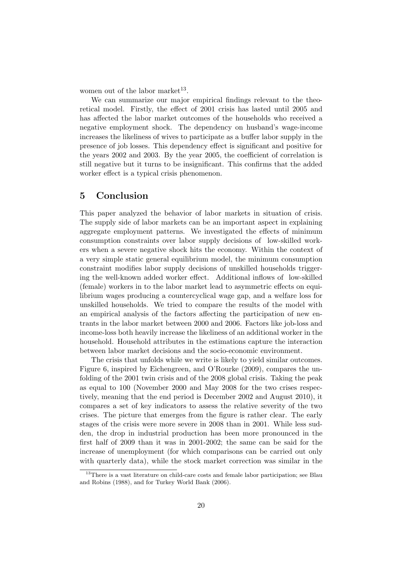women out of the labor market<sup>13</sup>.

We can summarize our major empirical findings relevant to the theoretical model. Firstly, the effect of 2001 crisis has lasted until 2005 and has affected the labor market outcomes of the households who received a negative employment shock. The dependency on husband's wage-income increases the likeliness of wives to participate as a buffer labor supply in the presence of job losses. This dependency effect is significant and positive for the years 2002 and 2003. By the year 2005, the coefficient of correlation is still negative but it turns to be insignificant. This confirms that the added worker effect is a typical crisis phenomenon.

#### 5 Conclusion

This paper analyzed the behavior of labor markets in situation of crisis. The supply side of labor markets can be an important aspect in explaining aggregate employment patterns. We investigated the effects of minimum consumption constraints over labor supply decisions of low-skilled workers when a severe negative shock hits the economy. Within the context of a very simple static general equilibrium model, the minimum consumption constraint modifies labor supply decisions of unskilled households triggering the well-known added worker effect. Additional inflows of low-skilled (female) workers in to the labor market lead to asymmetric effects on equilibrium wages producing a countercyclical wage gap, and a welfare loss for unskilled households. We tried to compare the results of the model with an empirical analysis of the factors affecting the participation of new entrants in the labor market between 2000 and 2006. Factors like job-loss and income-loss both heavily increase the likeliness of an additional worker in the household. Household attributes in the estimations capture the interaction between labor market decisions and the socio-economic environment.

The crisis that unfolds while we write is likely to yield similar outcomes. Figure 6, inspired by Eichengreen, and O'Rourke (2009), compares the unfolding of the 2001 twin crisis and of the 2008 global crisis. Taking the peak as equal to 100 (November 2000 and May 2008 for the two crises respectively, meaning that the end period is December 2002 and August 2010), it compares a set of key indicators to assess the relative severity of the two crises. The picture that emerges from the figure is rather clear. The early stages of the crisis were more severe in 2008 than in 2001. While less sudden, the drop in industrial production has been more pronounced in the first half of 2009 than it was in 2001-2002; the same can be said for the increase of unemployment (for which comparisons can be carried out only with quarterly data), while the stock market correction was similar in the

<sup>&</sup>lt;sup>13</sup>There is a vast literature on child-care costs and female labor participation; see Blau and Robins (1988), and for Turkey World Bank (2006).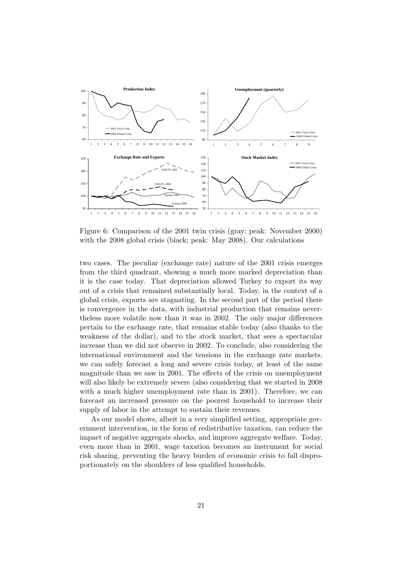

Figure 6: Comparison of the 2001 twin crisis (gray; peak: November 2000) with the 2008 global crisis (black; peak: May 2008). Our calculations

two cases. The peculiar (exchange rate) nature of the 2001 crisis emerges from the third quadrant, showing a much more marked depreciation than it is the case today. That depreciation allowed Turkey to export its way out of a crisis that remained substantially local. Today, in the context of a global crisis, exports are stagnating. In the second part of the period there is convergence in the data, with industrial production that remains nevertheless more volatile now than it was in 2002. The only major differences pertain to the exchange rate, that remains stable today (also thanks to the weakness of the dollar), and to the stock market, that sees a spectacular increase than we did not observe in 2002. To conclude, also considering the international environment and the tensions in the exchange rate markets, we can safely forecast a long and severe crisis today, at least of the same magnitude than we saw in 2001. The effects of the crisis on unemployment will also likely be extremely severe (also considering that we started in 2008 with a much higher unemployment rate than in 2001). Therefore, we can forecast an increased pressure on the poorest household to increase their supply of labor in the attempt to sustain their revenues.

As our model shows, albeit in a very simplified setting, appropriate government intervention, in the form of redistributive taxation, can reduce the impact of negative aggregate shocks, and improve aggregate welfare. Today, even more than in 2001, wage taxation becomes an instrument for social risk sharing, preventing the heavy burden of economic crisis to fall disproportionately on the shoulders of less qualified households.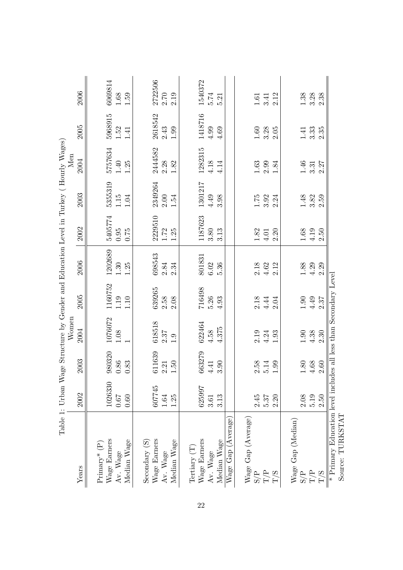|                                                                                      | Table 1: Urban Wage Structure by Gender and Education Level in Turkey (Hourly Wages) |                  | Women                 |                        |                                             |                                             |                  | Men                  |                                             |                            |
|--------------------------------------------------------------------------------------|--------------------------------------------------------------------------------------|------------------|-----------------------|------------------------|---------------------------------------------|---------------------------------------------|------------------|----------------------|---------------------------------------------|----------------------------|
| Years                                                                                | 2002                                                                                 | 2003             | 2004                  | 2005                   | 2006                                        | 2002                                        | 2003             | 2004                 | 2005                                        | 2006                       |
| Wage Earners<br>$Primary^*(P)$                                                       | 1026330                                                                              | 980320           | 1076072               | 1160752                | 1202689                                     | 5405774                                     | 5355319          | 5757634              | 5968915                                     | 6069814                    |
| Median Wage<br>Av. Wage                                                              | $0.67\,$<br>0.60                                                                     | $0.86\,$<br>0.83 | $1.08\,$              | $1.19\,$<br>1.10       | 1.25<br>$1.30\,$                            | 0.95<br>0.75                                | 1.15<br>1.04     | $1.25\,$<br>$1.40\,$ | $1.52\,$<br>1.41                            | $1.68\,$<br>1.59           |
| Secondary (S)                                                                        |                                                                                      |                  |                       |                        |                                             |                                             |                  |                      |                                             |                            |
| Wage Earners                                                                         | 607745                                                                               | 611639           | 618518                | 639265                 | 698543                                      | 2229510                                     | 2349264          | 2444582              | 2618542                                     | 2722506                    |
| Av. Wage                                                                             | $1.64\,$                                                                             | 2.21             | 2.37                  | 2.58                   | $2.84\,$                                    | 1.72                                        | 2.00             | 2.28                 | 2.43                                        | 2.70                       |
| Median Wage                                                                          | 1.25                                                                                 | 1.50             | 1.9                   | 2.08                   | 2.34                                        | 1.25                                        | 1.54             | 1.82                 | $1.99\,$                                    | 2.19                       |
| Tertiary (T)                                                                         |                                                                                      |                  |                       |                        |                                             |                                             |                  |                      |                                             |                            |
| Wage Earners                                                                         | 625997                                                                               | 663279           | 622464                | 716498                 | 801831                                      | 187623                                      | 1301217          | 1282315              | 1418716                                     | 1540372                    |
| Av. Wage                                                                             | $3.61\,$                                                                             | 4.41             | 4.58                  | 5.26                   | $6.02\,$                                    | 3.80                                        | 4.49             | 4.18                 | 4.99                                        | 5.74                       |
| Median Wage                                                                          | 3.13                                                                                 | 3.90             | 4.375                 | 4.93                   | 5.36                                        | 3.13                                        | 3.98             | 4.14                 | 4.69                                        | 5.21                       |
| Wage Gap (Average)                                                                   |                                                                                      |                  |                       |                        |                                             |                                             |                  |                      |                                             |                            |
| $W$ age Gap (Average)                                                                |                                                                                      |                  |                       |                        |                                             |                                             |                  |                      |                                             |                            |
|                                                                                      | 2.45                                                                                 |                  |                       |                        |                                             | $1.82\,$                                    | 1.75             |                      |                                             |                            |
| S/P<br>T/P<br>T/S                                                                    | 5.37                                                                                 | $2.58$<br>$5.14$ | $2.19$<br>4.24        | $2.18$<br>4.44<br>2.04 | $2.18$<br>$4.62$<br>$2.12$                  | $4.01\,$                                    | $3.92$<br>$2.24$ | $1.63\phantom{}2.99$ | $\begin{array}{c} 1.60 \\ 3.28 \end{array}$ | $1.61$<br>$3.41$<br>$2.12$ |
|                                                                                      | 2.20                                                                                 | 1.99             | 1.93                  |                        |                                             | 2.20                                        |                  | 1.84                 | 2.05                                        |                            |
| Wage Gap (Median)                                                                    |                                                                                      |                  |                       |                        |                                             |                                             |                  |                      |                                             |                            |
| S/P                                                                                  | 2.08                                                                                 | $1.80\,$         |                       |                        |                                             |                                             | $1.48\,$         |                      | 1.41                                        | 1.38                       |
| $\rm T/P$                                                                            | 5.19                                                                                 | $4.68$           | $1.90\phantom{0}4.38$ | $1.90$<br>$4.49$       | $\begin{array}{c} 1.88 \\ 4.29 \end{array}$ | $\begin{array}{c} 1.68 \\ 4.19 \end{array}$ | $3.82$<br>$2.59$ | $1.46\phantom{}$     | 3.33                                        | 3.28                       |
| $\Gamma/S$                                                                           | 2.50                                                                                 | 2.60             | 2.30                  | 2.37                   | 2.29                                        | 2.50                                        |                  | 2.27                 | 2.35                                        | 2.38                       |
| * Primary Education level includes all less than Secondary Level<br>Source: TURKSTAT |                                                                                      |                  |                       |                        |                                             |                                             |                  |                      |                                             |                            |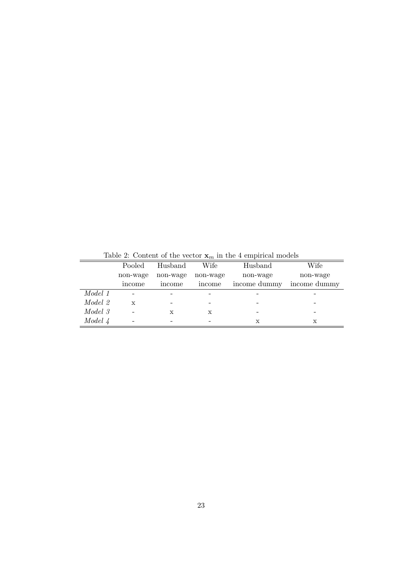|         |          |          |          | Lable 2. Content of the vector $\mathbf{A}_m$ in the 4 emphetical models |              |
|---------|----------|----------|----------|--------------------------------------------------------------------------|--------------|
|         | Pooled   | Husband  | Wife     | Husband                                                                  | Wife         |
|         | non-wage | non-wage | non-wage | non-wage                                                                 | non-wage     |
|         | income   | income   | income   | income dummy                                                             | income dummy |
| Model 1 |          |          |          |                                                                          |              |
| Model 2 | X        |          |          |                                                                          |              |
| Model 3 |          | X        | х        |                                                                          |              |
| Model 4 |          |          |          | х                                                                        | х            |

Table 2: Content of the vector  $\mathbf{x}_m$  in the 4 empirical models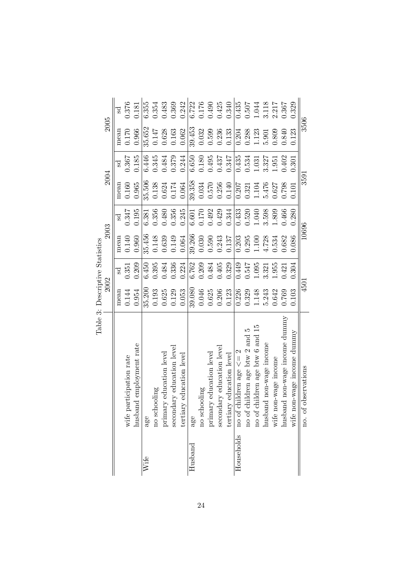|            |                                  | ranie o Trentina a nemenante |       |        |       |                    |       |           |       |
|------------|----------------------------------|------------------------------|-------|--------|-------|--------------------|-------|-----------|-------|
|            |                                  | 2002                         |       | 2003   |       | 2004               |       | 2005      |       |
|            |                                  | mean                         | ್ದರ   | mean   | ಕ್ಷ   | mean               | ್ದರ   | mean      | Sd    |
|            | wife participation rate          | 0.144                        | 0.351 | 0.140  | 0.347 | 0.160              | 0.367 | 0.170     | 0.376 |
|            | employment rate<br>husband       | 0.954                        | 0.209 | 0.960  | 0.195 | 0.965              | 0.185 | 0.966     | 0.181 |
| Wife       | age                              | 35.200                       | 6.450 | 35.456 | 6.381 | 35.506             | 6.446 | 35.652    | 6.355 |
|            | no schooling                     | 0.193                        | 0.395 | 0.148  | 0.356 | 0.138              | 0.345 | 0.147     | 0.354 |
|            | primary education level          | 0.625                        | 0.484 | 0.639  | 0.480 | 0.624              | 0.484 | 0.628     | 0.483 |
|            | secondary education level        | 0.129                        | 0.336 | 0.149  | 0.356 | 0.174              | 0.379 | $\!0.163$ | 0.369 |
|            | education level<br>tertiary      | 0.053                        | 0.224 | 0.064  | 0.245 | 0.064              | 0.244 | 0.062     | 0.242 |
| $H$ usband | age                              | 39.080                       | 6.762 | 39.266 | 6.601 | 39.358             | 6.650 | 39.453    | 6.722 |
|            | no schooling                     | 0.046                        | 0.209 | 0.030  | 0.170 | 0.034              | 0.180 | 0.032     | 0.176 |
|            | education level<br>primary       | 0.625                        | 0.484 | 0.590  | 0.492 | $0.570$<br>$0.256$ | 0.495 | 0.599     | 0.490 |
|            | secondary education level        | 0.206                        | 0.405 | 0.243  | 0.429 |                    | 0.437 | 0.236     | 0.425 |
|            | education level<br>tertiary      | 0.123                        | 0.329 | 0.137  | 0.344 | 0.140              | 0.347 | 0.133     | 0.340 |
| Households | no of children age $\leq 2$      | 0.226                        | 0.449 | 0.203  | 0.433 | 0.207              | 0.435 | 0.204     | 0.435 |
|            | no of children age btw 2 and 5   | 0.329                        | 0.547 | 0.295  | 0.520 | 0.321              | 0.534 | 0.288     | 0.507 |
|            | no of children age btw 6 and 15  | 1.148                        | 1.095 | 1.100  | 1.040 | 1.104              | 1.031 | 1.123     | 1.044 |
|            | non-wage income<br>husband       | 5.243                        | 3.321 | 4.728  | 3.598 | 5.476              | 3.327 | 5.901     | 3.118 |
|            | wife non-wage income             | 0.642                        | 1.955 | 0.534  | 1.809 | 0.627              | 1.951 | 0.809     | 2.217 |
|            | non-wage income dummy<br>husband | 0.769                        | 0.421 | 0.682  | 0.466 | 0.798              | 0.402 | 0.840     | 0.367 |
|            | wife non-wage income dummy       | 0.103                        | 0.304 | 0.086  | 0.280 | 0.101              | 0.301 | 0.123     | 0.329 |
|            | bservations<br>no. of ol         | 4501                         |       | 10696  |       | 3591               |       | 3506      |       |

Table 3: Descriptive Statistics Table 3: Descriptive Statistics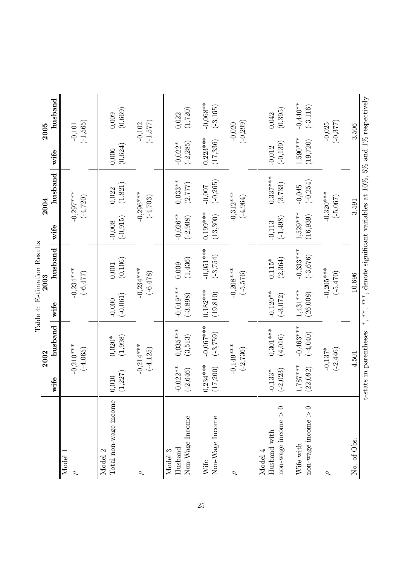|                                                                  |                           | 2002                       |                           | Table 4: Estimation Results<br>2003                                     |                          | 2004                       |                          | 2005                      |
|------------------------------------------------------------------|---------------------------|----------------------------|---------------------------|-------------------------------------------------------------------------|--------------------------|----------------------------|--------------------------|---------------------------|
|                                                                  | wife                      | husband                    | wife                      | husband                                                                 | wife                     | husband   wife             |                          | husband                   |
| Model<br>$\sigma$                                                |                           | $-0,210***$<br>$(-4,065)$  |                           | $-0,234***$<br>$(-6, 477)$                                              |                          | $-0,297***$<br>$(-4, 720)$ |                          | $(-1,565)$<br>$-0,101$    |
| Total non-wage income<br>Model 2                                 | (1, 227)<br>0,010         | (1,998)<br>$0,020*$        | $(-0,061)$<br>$-0,000$    | (0,106)<br>$0,\!001$                                                    | $(-0, 915)$<br>$-0,008$  | (1, 821)<br>0,022          | (0,624)<br>0,006         | (0,669)<br>0,009          |
| $\sigma$                                                         |                           | $-0,214***$<br>$(-4, 125)$ |                           | $-0,234***$<br>$(-6, 478)$                                              |                          | $-0,296***$<br>$(-4, 703)$ |                          | $(-1, 577)$<br>$-0,102$   |
| Non-Wage Income<br>Husband<br>Model 3                            | $-0,022**$<br>$(-2, 646)$ | $0,035***$<br>(3,513)      | $-0,019***$<br>$(-3,898)$ | (1, 436)<br>0,009                                                       | $-0,026**$<br>$(-2,908)$ | $0,033**$<br>(2,777)       | $(-2, 285)$<br>$-0,022*$ | (1,720)<br>0,022          |
| Non-Wage Income<br>Wife                                          | $0,234***$<br>(17, 200)   | $-0,067***$<br>$(-3, 759)$ | $0,182***$<br>(19, 810)   | $-0,051***$<br>$(-3, 754)$                                              | $0,199***$<br>(13, 300)  | $(-0, 265)$<br>$-0,007$    | $0,223***$<br>(17, 336)  | $-0,068**$<br>$(-3, 165)$ |
| $\sigma$                                                         |                           | $-0,149***$<br>$(-2, 736)$ |                           | $-0,208***$<br>$(-5,576)$                                               |                          | $-0,312***$<br>$(-4,964)$  |                          | $(-0, 299)$<br>$-0,020$   |
| $norm\text{-} \text{wage income} > 0$<br>Husband with<br>Model 4 | $(-2, 023)$<br>$-0.133*$  | $0,301***$<br>(4,016)      | $-0,120**$<br>$(-3,072)$  | (2, 364)<br>$0,115*$                                                    | $(-1, 498)$<br>$-0,113$  | $0,337***$<br>(3, 733)     | $(-0, 139)$<br>$-0,012$  | (0, 395)<br>0,042         |
| non-wage income $> 0$<br>Wife with                               | $1,787***$<br>(22, 092)   | $-0,463***$<br>$(-4,040)$  | $1,431***$<br>(26,008)    | $-0,333***$<br>$(-3, 676)$                                              | $1,529***$<br>(16, 939)  | $(-0, 254)$<br>$-0,045$    | $1,590***$<br>(19, 720)  | $-0,440**$<br>$(-3, 116)$ |
| $\sigma$                                                         |                           | $-0,137*$<br>$(-2, 446)$   |                           | $-0,205***$<br>$(-5, 470)$                                              |                          | $-0,320***$<br>$(-5,067)$  |                          | $(-0, 377)$<br>$-0,025$   |
| No. of Obs.                                                      |                           | 4.501                      |                           | 10.696                                                                  |                          | 3.591                      |                          | 3.506                     |
|                                                                  | t-stats in parentheses.   |                            | *** ** *                  | , denote significant variables at $10\%$ , $5\%$ and $1\%$ respectively |                          |                            |                          |                           |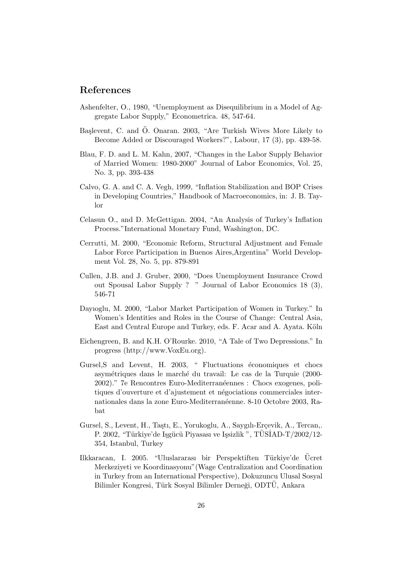#### References

- Ashenfelter, O., 1980, "Unemployment as Disequilibrium in a Model of Aggregate Labor Supply," Econometrica. 48, 547-64.
- Başlevent, C. and Ö. Onaran. 2003, "Are Turkish Wives More Likely to Become Added or Discouraged Workers?", Labour, 17 (3), pp. 439-58.
- Blau, F. D. and L. M. Kahn, 2007, "Changes in the Labor Supply Behavior of Married Women: 1980-2000" Journal of Labor Economics, Vol. 25, No. 3, pp. 393-438
- Calvo, G. A. and C. A. Vegh, 1999, "Inflation Stabilization and BOP Crises in Developing Countries," Handbook of Macroeconomics, in: J. B. Taylor
- Celasun O., and D. McGettigan. 2004, "An Analysis of Turkey's Inflation Process."International Monetary Fund, Washington, DC.
- Cerrutti, M. 2000, "Economic Reform, Structural Adjustment and Female Labor Force Participation in Buenos Aires,Argentina" World Development Vol. 28, No. 5, pp. 879-891
- Cullen, J.B. and J. Gruber, 2000, "Does Unemployment Insurance Crowd out Spousal Labor Supply ? " Journal of Labor Economics 18 (3), 546-71
- Dayıoglu, M. 2000, "Labor Market Participation of Women in Turkey." In Women's Identities and Roles in the Course of Change: Central Asia, East and Central Europe and Turkey, eds. F. Acar and A. Ayata. Köln
- Eichengreen, B. and K.H. O'Rourke. 2010, "A Tale of Two Depressions." In progress (http://www.VoxEu.org).
- Gursel, S and Levent, H. 2003, " Fluctuations économiques et chocs asymétriques dans le marché du travail: Le cas de la Turquie (2000-2002)." 7e Rencontres Euro-Mediterranéennes : Chocs exogenes, politiques d'ouverture et d'ajustement et négociations commerciales internationales dans la zone Euro-Mediterranéenne. 8-10 Octobre 2003, Rabat
- Gursel, S., Levent, H., Taştı, E., Yorukoglu, A., Saygılı-Erçevik, A., Tercan,. P. 2002, "Türkiye'de Işgücü Piyasası ve Işsizlik ", TÜSİAD-T/2002/12-354, Istanbul, Turkey
- Ilkkaracan, I. 2005. "Uluslararası bir Perspektiften Türkiye'de Ücret Merkeziyeti ve Koordinasyonu"(Wage Centralization and Coordination in Turkey from an International Perspective), Dokuzuncu Ulusal Sosyal Bilimler Kongresi, Türk Sosyal Bilimler Derneği, ODTÜ, Ankara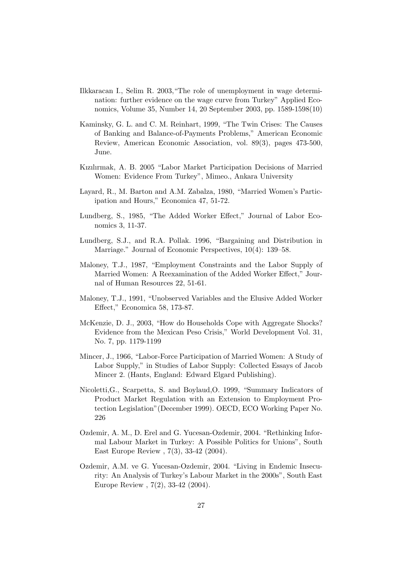- Ilkkaracan I., Selim R. 2003,"The role of unemployment in wage determination: further evidence on the wage curve from Turkey" Applied Economics, Volume 35, Number 14, 20 September 2003, pp. 1589-1598(10)
- Kaminsky, G. L. and C. M. Reinhart, 1999, "The Twin Crises: The Causes of Banking and Balance-of-Payments Problems," American Economic Review, American Economic Association, vol. 89(3), pages 473-500, June.
- Kızılırmak, A. B. 2005 "Labor Market Participation Decisions of Married Women: Evidence From Turkey", Mimeo., Ankara University
- Layard, R., M. Barton and A.M. Zabalza, 1980, "Married Women's Participation and Hours," Economica 47, 51-72.
- Lundberg, S., 1985, "The Added Worker Effect," Journal of Labor Economics 3, 11-37.
- Lundberg, S.J., and R.A. Pollak. 1996, "Bargaining and Distribution in Marriage." Journal of Economic Perspectives, 10(4): 139–58.
- Maloney, T.J., 1987, "Employment Constraints and the Labor Supply of Married Women: A Reexamination of the Added Worker Effect," Journal of Human Resources 22, 51-61.
- Maloney, T.J., 1991, "Unobserved Variables and the Elusive Added Worker Effect," Economica 58, 173-87.
- McKenzie, D. J., 2003, "How do Households Cope with Aggregate Shocks? Evidence from the Mexican Peso Crisis," World Development Vol. 31, No. 7, pp. 1179-1199
- Mincer, J., 1966, "Labor-Force Participation of Married Women: A Study of Labor Supply," in Studies of Labor Supply: Collected Essays of Jacob Mincer 2. (Hants, England: Edward Elgard Publishing).
- Nicoletti,G., Scarpetta, S. and Boylaud,O. 1999, "Summary Indicators of Product Market Regulation with an Extension to Employment Protection Legislation"(December 1999). OECD, ECO Working Paper No. 226
- Ozdemir, A. M., D. Erel and G. Yucesan-Ozdemir, 2004. "Rethinking Informal Labour Market in Turkey: A Possible Politics for Unions", South East Europe Review , 7(3), 33-42 (2004).
- Ozdemir, A.M. ve G. Yucesan-Ozdemir, 2004. "Living in Endemic Insecurity: An Analysis of Turkey's Labour Market in the 2000s", South East Europe Review , 7(2), 33-42 (2004).